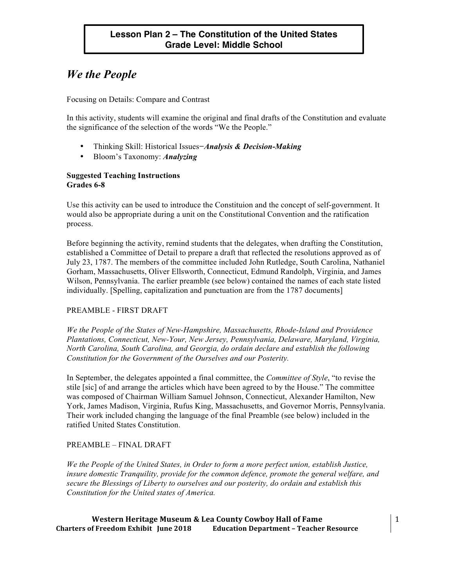# *We the People*

Focusing on Details: Compare and Contrast

In this activity, students will examine the original and final drafts of the Constitution and evaluate the significance of the selection of the words "We the People."

- Thinking Skill: Historical Issues*−Analysis & Decision-Making*
- Bloom's Taxonomy: *Analyzing*

# **Suggested Teaching Instructions Grades 6-8**

Use this activity can be used to introduce the Constituion and the concept of self-government. It would also be appropriate during a unit on the Constitutional Convention and the ratification process.

Before beginning the activity, remind students that the delegates, when drafting the Constitution, established a Committee of Detail to prepare a draft that reflected the resolutions approved as of July 23, 1787. The members of the committee included John Rutledge, South Carolina, Nathaniel Gorham, Massachusetts, Oliver Ellsworth, Connecticut, Edmund Randolph, Virginia, and James Wilson, Pennsylvania. The earlier preamble (see below) contained the names of each state listed individually. [Spelling, capitalization and punctuation are from the 1787 documents]

# PREAMBLE - FIRST DRAFT

*We the People of the States of New-Hampshire, Massachusetts, Rhode-Island and Providence Plantations, Connecticut, New-Your, New Jersey, Pennsylvania, Delaware, Maryland, Virginia, North Carolina, South Carolina, and Georgia, do ordain declare and establish the following Constitution for the Government of the Ourselves and our Posterity.* 

In September, the delegates appointed a final committee, the *Committee of Style*, "to revise the stile [sic] of and arrange the articles which have been agreed to by the House." The committee was composed of Chairman William Samuel Johnson, Connecticut, Alexander Hamilton, New York, James Madison, Virginia, Rufus King, Massachusetts, and Governor Morris, Pennsylvania. Their work included changing the language of the final Preamble (see below) included in the ratified United States Constitution.

# PREAMBLE – FINAL DRAFT

*We the People of the United States, in Order to form a more perfect union, establish Justice, insure domestic Tranquility, provide for the common defence, promote the general welfare, and secure the Blessings of Liberty to ourselves and our posterity, do ordain and establish this Constitution for the United states of America.*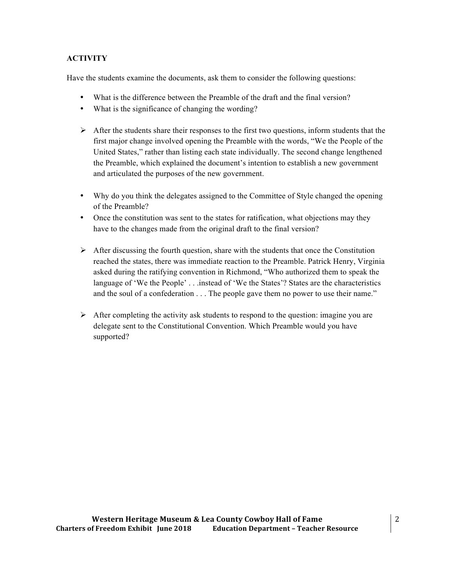# **ACTIVITY**

Have the students examine the documents, ask them to consider the following questions:

- What is the difference between the Preamble of the draft and the final version?
- What is the significance of changing the wording?
- $\triangleright$  After the students share their responses to the first two questions, inform students that the first major change involved opening the Preamble with the words, "We the People of the United States," rather than listing each state individually. The second change lengthened the Preamble, which explained the document's intention to establish a new government and articulated the purposes of the new government.
- Why do you think the delegates assigned to the Committee of Style changed the opening of the Preamble?
- Once the constitution was sent to the states for ratification, what objections may they have to the changes made from the original draft to the final version?
- $\triangleright$  After discussing the fourth question, share with the students that once the Constitution reached the states, there was immediate reaction to the Preamble. Patrick Henry, Virginia asked during the ratifying convention in Richmond, "Who authorized them to speak the language of 'We the People' . . .instead of 'We the States'? States are the characteristics and the soul of a confederation . . . The people gave them no power to use their name."
- $\triangleright$  After completing the activity ask students to respond to the question: imagine you are delegate sent to the Constitutional Convention. Which Preamble would you have supported?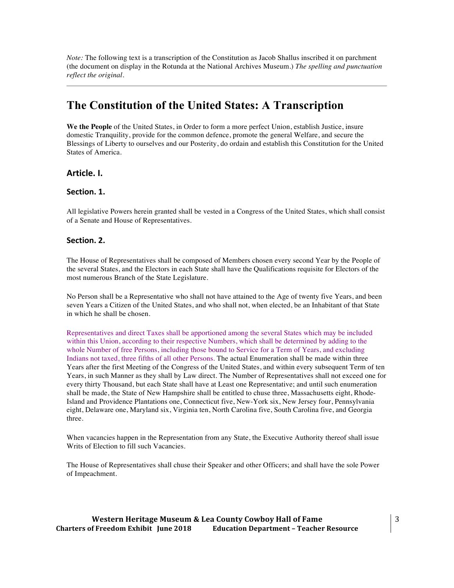*Note:* The following text is a transcription of the Constitution as Jacob Shallus inscribed it on parchment (the document on display in the Rotunda at the National Archives Museum.) *The spelling and punctuation reflect the original.*

# **The Constitution of the United States: A Transcription**

**We the People** of the United States, in Order to form a more perfect Union, establish Justice, insure domestic Tranquility, provide for the common defence, promote the general Welfare, and secure the Blessings of Liberty to ourselves and our Posterity, do ordain and establish this Constitution for the United States of America.

## **Article.)I.**

## Section. 1.

All legislative Powers herein granted shall be vested in a Congress of the United States, which shall consist of a Senate and House of Representatives.

#### Section. 2.

The House of Representatives shall be composed of Members chosen every second Year by the People of the several States, and the Electors in each State shall have the Qualifications requisite for Electors of the most numerous Branch of the State Legislature.

No Person shall be a Representative who shall not have attained to the Age of twenty five Years, and been seven Years a Citizen of the United States, and who shall not, when elected, be an Inhabitant of that State in which he shall be chosen.

Representatives and direct Taxes shall be apportioned among the several States which may be included within this Union, according to their respective Numbers, which shall be determined by adding to the whole Number of free Persons, including those bound to Service for a Term of Years, and excluding Indians not taxed, three fifths of all other Persons. The actual Enumeration shall be made within three Years after the first Meeting of the Congress of the United States, and within every subsequent Term of ten Years, in such Manner as they shall by Law direct. The Number of Representatives shall not exceed one for every thirty Thousand, but each State shall have at Least one Representative; and until such enumeration shall be made, the State of New Hampshire shall be entitled to chuse three, Massachusetts eight, Rhode-Island and Providence Plantations one, Connecticut five, New-York six, New Jersey four, Pennsylvania eight, Delaware one, Maryland six, Virginia ten, North Carolina five, South Carolina five, and Georgia three.

When vacancies happen in the Representation from any State, the Executive Authority thereof shall issue Writs of Election to fill such Vacancies.

The House of Representatives shall chuse their Speaker and other Officers; and shall have the sole Power of Impeachment.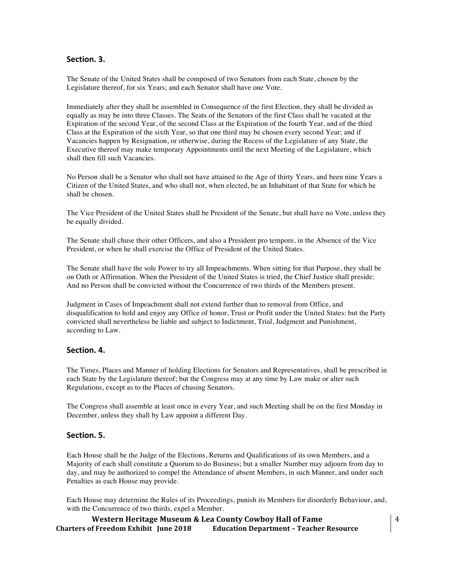## Section. 3.

The Senate of the United States shall be composed of two Senators from each State, chosen by the Legislature thereof, for six Years; and each Senator shall have one Vote.

Immediately after they shall be assembled in Consequence of the first Election, they shall be divided as equally as may be into three Classes. The Seats of the Senators of the first Class shall be vacated at the Expiration of the second Year, of the second Class at the Expiration of the fourth Year, and of the third Class at the Expiration of the sixth Year, so that one third may be chosen every second Year; and if Vacancies happen by Resignation, or otherwise, during the Recess of the Legislature of any State, the Executive thereof may make temporary Appointments until the next Meeting of the Legislature, which shall then fill such Vacancies.

No Person shall be a Senator who shall not have attained to the Age of thirty Years, and been nine Years a Citizen of the United States, and who shall not, when elected, be an Inhabitant of that State for which he shall be chosen.

The Vice President of the United States shall be President of the Senate, but shall have no Vote, unless they be equally divided.

The Senate shall chuse their other Officers, and also a President pro tempore, in the Absence of the Vice President, or when he shall exercise the Office of President of the United States.

The Senate shall have the sole Power to try all Impeachments. When sitting for that Purpose, they shall be on Oath or Affirmation. When the President of the United States is tried, the Chief Justice shall preside: And no Person shall be convicted without the Concurrence of two thirds of the Members present.

Judgment in Cases of Impeachment shall not extend further than to removal from Office, and disqualification to hold and enjoy any Office of honor, Trust or Profit under the United States: but the Party convicted shall nevertheless be liable and subject to Indictment, Trial, Judgment and Punishment, according to Law.

#### Section. 4.

The Times, Places and Manner of holding Elections for Senators and Representatives, shall be prescribed in each State by the Legislature thereof; but the Congress may at any time by Law make or alter such Regulations, except as to the Places of chusing Senators.

The Congress shall assemble at least once in every Year, and such Meeting shall be on the first Monday in December, unless they shall by Law appoint a different Day.

#### Section. 5.

Each House shall be the Judge of the Elections, Returns and Qualifications of its own Members, and a Majority of each shall constitute a Quorum to do Business; but a smaller Number may adjourn from day to day, and may be authorized to compel the Attendance of absent Members, in such Manner, and under such Penalties as each House may provide.

Each House may determine the Rules of its Proceedings, punish its Members for disorderly Behaviour, and, with the Concurrence of two thirds, expel a Member.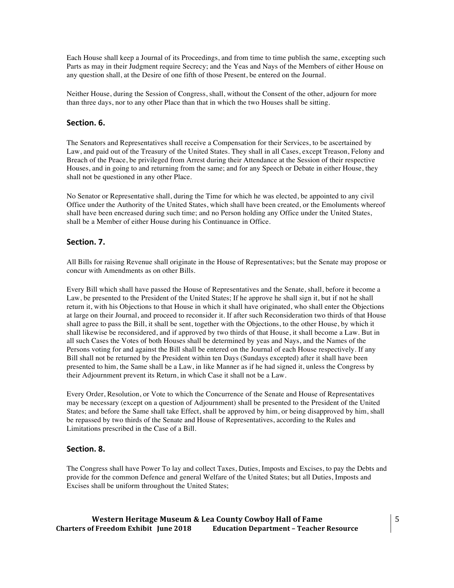Each House shall keep a Journal of its Proceedings, and from time to time publish the same, excepting such Parts as may in their Judgment require Secrecy; and the Yeas and Nays of the Members of either House on any question shall, at the Desire of one fifth of those Present, be entered on the Journal.

Neither House, during the Session of Congress, shall, without the Consent of the other, adjourn for more than three days, nor to any other Place than that in which the two Houses shall be sitting.

#### Section. 6.

The Senators and Representatives shall receive a Compensation for their Services, to be ascertained by Law, and paid out of the Treasury of the United States. They shall in all Cases, except Treason, Felony and Breach of the Peace, be privileged from Arrest during their Attendance at the Session of their respective Houses, and in going to and returning from the same; and for any Speech or Debate in either House, they shall not be questioned in any other Place.

No Senator or Representative shall, during the Time for which he was elected, be appointed to any civil Office under the Authority of the United States, which shall have been created, or the Emoluments whereof shall have been encreased during such time; and no Person holding any Office under the United States, shall be a Member of either House during his Continuance in Office.

#### Section. 7.

All Bills for raising Revenue shall originate in the House of Representatives; but the Senate may propose or concur with Amendments as on other Bills.

Every Bill which shall have passed the House of Representatives and the Senate, shall, before it become a Law, be presented to the President of the United States; If he approve he shall sign it, but if not he shall return it, with his Objections to that House in which it shall have originated, who shall enter the Objections at large on their Journal, and proceed to reconsider it. If after such Reconsideration two thirds of that House shall agree to pass the Bill, it shall be sent, together with the Objections, to the other House, by which it shall likewise be reconsidered, and if approved by two thirds of that House, it shall become a Law. But in all such Cases the Votes of both Houses shall be determined by yeas and Nays, and the Names of the Persons voting for and against the Bill shall be entered on the Journal of each House respectively. If any Bill shall not be returned by the President within ten Days (Sundays excepted) after it shall have been presented to him, the Same shall be a Law, in like Manner as if he had signed it, unless the Congress by their Adjournment prevent its Return, in which Case it shall not be a Law.

Every Order, Resolution, or Vote to which the Concurrence of the Senate and House of Representatives may be necessary (except on a question of Adjournment) shall be presented to the President of the United States; and before the Same shall take Effect, shall be approved by him, or being disapproved by him, shall be repassed by two thirds of the Senate and House of Representatives, according to the Rules and Limitations prescribed in the Case of a Bill.

## Section. 8.

The Congress shall have Power To lay and collect Taxes, Duties, Imposts and Excises, to pay the Debts and provide for the common Defence and general Welfare of the United States; but all Duties, Imposts and Excises shall be uniform throughout the United States;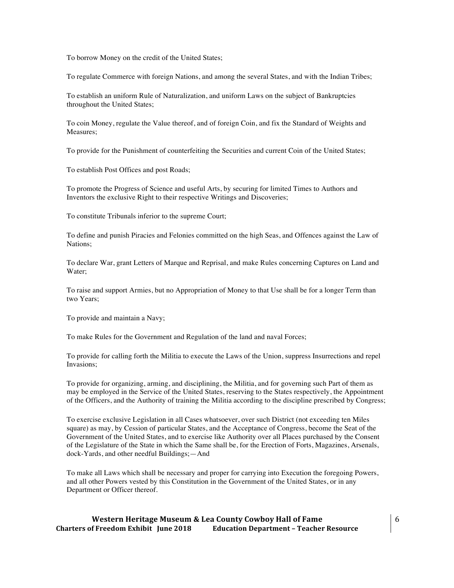To borrow Money on the credit of the United States;

To regulate Commerce with foreign Nations, and among the several States, and with the Indian Tribes;

To establish an uniform Rule of Naturalization, and uniform Laws on the subject of Bankruptcies throughout the United States;

To coin Money, regulate the Value thereof, and of foreign Coin, and fix the Standard of Weights and Measures;

To provide for the Punishment of counterfeiting the Securities and current Coin of the United States;

To establish Post Offices and post Roads;

To promote the Progress of Science and useful Arts, by securing for limited Times to Authors and Inventors the exclusive Right to their respective Writings and Discoveries;

To constitute Tribunals inferior to the supreme Court;

To define and punish Piracies and Felonies committed on the high Seas, and Offences against the Law of Nations;

To declare War, grant Letters of Marque and Reprisal, and make Rules concerning Captures on Land and Water;

To raise and support Armies, but no Appropriation of Money to that Use shall be for a longer Term than two Years;

To provide and maintain a Navy;

To make Rules for the Government and Regulation of the land and naval Forces;

To provide for calling forth the Militia to execute the Laws of the Union, suppress Insurrections and repel Invasions;

To provide for organizing, arming, and disciplining, the Militia, and for governing such Part of them as may be employed in the Service of the United States, reserving to the States respectively, the Appointment of the Officers, and the Authority of training the Militia according to the discipline prescribed by Congress;

To exercise exclusive Legislation in all Cases whatsoever, over such District (not exceeding ten Miles square) as may, by Cession of particular States, and the Acceptance of Congress, become the Seat of the Government of the United States, and to exercise like Authority over all Places purchased by the Consent of the Legislature of the State in which the Same shall be, for the Erection of Forts, Magazines, Arsenals, dock-Yards, and other needful Buildings;—And

To make all Laws which shall be necessary and proper for carrying into Execution the foregoing Powers, and all other Powers vested by this Constitution in the Government of the United States, or in any Department or Officer thereof.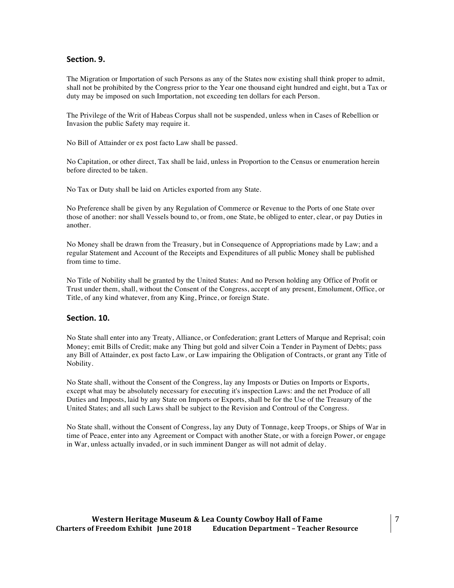#### Section. 9.

The Migration or Importation of such Persons as any of the States now existing shall think proper to admit, shall not be prohibited by the Congress prior to the Year one thousand eight hundred and eight, but a Tax or duty may be imposed on such Importation, not exceeding ten dollars for each Person.

The Privilege of the Writ of Habeas Corpus shall not be suspended, unless when in Cases of Rebellion or Invasion the public Safety may require it.

No Bill of Attainder or ex post facto Law shall be passed.

No Capitation, or other direct, Tax shall be laid, unless in Proportion to the Census or enumeration herein before directed to be taken.

No Tax or Duty shall be laid on Articles exported from any State.

No Preference shall be given by any Regulation of Commerce or Revenue to the Ports of one State over those of another: nor shall Vessels bound to, or from, one State, be obliged to enter, clear, or pay Duties in another.

No Money shall be drawn from the Treasury, but in Consequence of Appropriations made by Law; and a regular Statement and Account of the Receipts and Expenditures of all public Money shall be published from time to time.

No Title of Nobility shall be granted by the United States: And no Person holding any Office of Profit or Trust under them, shall, without the Consent of the Congress, accept of any present, Emolument, Office, or Title, of any kind whatever, from any King, Prince, or foreign State.

#### **Section.)10.**

No State shall enter into any Treaty, Alliance, or Confederation; grant Letters of Marque and Reprisal; coin Money; emit Bills of Credit; make any Thing but gold and silver Coin a Tender in Payment of Debts; pass any Bill of Attainder, ex post facto Law, or Law impairing the Obligation of Contracts, or grant any Title of Nobility.

No State shall, without the Consent of the Congress, lay any Imposts or Duties on Imports or Exports, except what may be absolutely necessary for executing it's inspection Laws: and the net Produce of all Duties and Imposts, laid by any State on Imports or Exports, shall be for the Use of the Treasury of the United States; and all such Laws shall be subject to the Revision and Controul of the Congress.

No State shall, without the Consent of Congress, lay any Duty of Tonnage, keep Troops, or Ships of War in time of Peace, enter into any Agreement or Compact with another State, or with a foreign Power, or engage in War, unless actually invaded, or in such imminent Danger as will not admit of delay.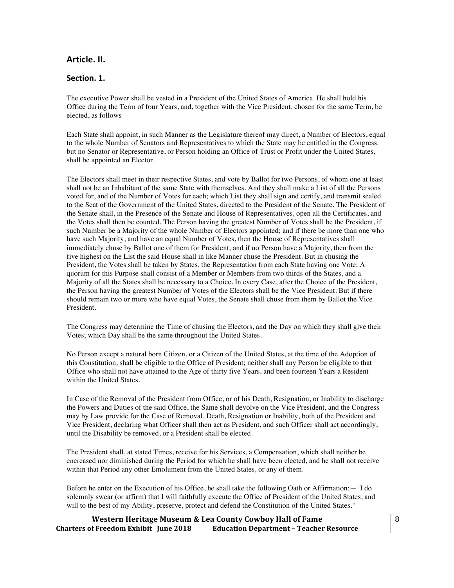# **Article.)II.**

#### Section. 1.

The executive Power shall be vested in a President of the United States of America. He shall hold his Office during the Term of four Years, and, together with the Vice President, chosen for the same Term, be elected, as follows

Each State shall appoint, in such Manner as the Legislature thereof may direct, a Number of Electors, equal to the whole Number of Senators and Representatives to which the State may be entitled in the Congress: but no Senator or Representative, or Person holding an Office of Trust or Profit under the United States, shall be appointed an Elector.

The Electors shall meet in their respective States, and vote by Ballot for two Persons, of whom one at least shall not be an Inhabitant of the same State with themselves. And they shall make a List of all the Persons voted for, and of the Number of Votes for each; which List they shall sign and certify, and transmit sealed to the Seat of the Government of the United States, directed to the President of the Senate. The President of the Senate shall, in the Presence of the Senate and House of Representatives, open all the Certificates, and the Votes shall then be counted. The Person having the greatest Number of Votes shall be the President, if such Number be a Majority of the whole Number of Electors appointed; and if there be more than one who have such Majority, and have an equal Number of Votes, then the House of Representatives shall immediately chuse by Ballot one of them for President; and if no Person have a Majority, then from the five highest on the List the said House shall in like Manner chuse the President. But in chusing the President, the Votes shall be taken by States, the Representation from each State having one Vote; A quorum for this Purpose shall consist of a Member or Members from two thirds of the States, and a Majority of all the States shall be necessary to a Choice. In every Case, after the Choice of the President, the Person having the greatest Number of Votes of the Electors shall be the Vice President. But if there should remain two or more who have equal Votes, the Senate shall chuse from them by Ballot the Vice President.

The Congress may determine the Time of chusing the Electors, and the Day on which they shall give their Votes; which Day shall be the same throughout the United States.

No Person except a natural born Citizen, or a Citizen of the United States, at the time of the Adoption of this Constitution, shall be eligible to the Office of President; neither shall any Person be eligible to that Office who shall not have attained to the Age of thirty five Years, and been fourteen Years a Resident within the United States.

In Case of the Removal of the President from Office, or of his Death, Resignation, or Inability to discharge the Powers and Duties of the said Office, the Same shall devolve on the Vice President, and the Congress may by Law provide for the Case of Removal, Death, Resignation or Inability, both of the President and Vice President, declaring what Officer shall then act as President, and such Officer shall act accordingly, until the Disability be removed, or a President shall be elected.

The President shall, at stated Times, receive for his Services, a Compensation, which shall neither be encreased nor diminished during the Period for which he shall have been elected, and he shall not receive within that Period any other Emolument from the United States, or any of them.

Before he enter on the Execution of his Office, he shall take the following Oath or Affirmation:—"I do solemnly swear (or affirm) that I will faithfully execute the Office of President of the United States, and will to the best of my Ability, preserve, protect and defend the Constitution of the United States."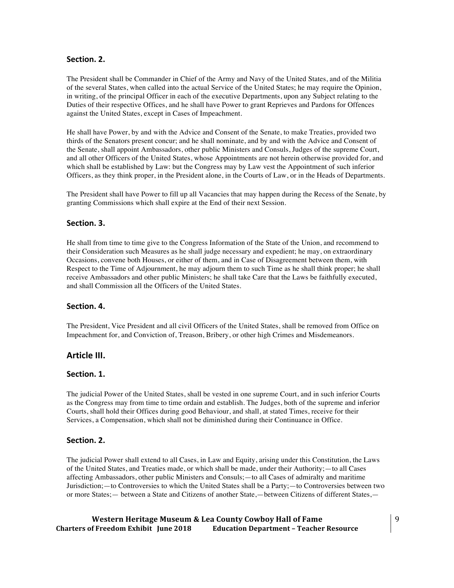#### Section. 2.

The President shall be Commander in Chief of the Army and Navy of the United States, and of the Militia of the several States, when called into the actual Service of the United States; he may require the Opinion, in writing, of the principal Officer in each of the executive Departments, upon any Subject relating to the Duties of their respective Offices, and he shall have Power to grant Reprieves and Pardons for Offences against the United States, except in Cases of Impeachment.

He shall have Power, by and with the Advice and Consent of the Senate, to make Treaties, provided two thirds of the Senators present concur; and he shall nominate, and by and with the Advice and Consent of the Senate, shall appoint Ambassadors, other public Ministers and Consuls, Judges of the supreme Court, and all other Officers of the United States, whose Appointments are not herein otherwise provided for, and which shall be established by Law: but the Congress may by Law vest the Appointment of such inferior Officers, as they think proper, in the President alone, in the Courts of Law, or in the Heads of Departments.

The President shall have Power to fill up all Vacancies that may happen during the Recess of the Senate, by granting Commissions which shall expire at the End of their next Session.

#### Section. 3.

He shall from time to time give to the Congress Information of the State of the Union, and recommend to their Consideration such Measures as he shall judge necessary and expedient; he may, on extraordinary Occasions, convene both Houses, or either of them, and in Case of Disagreement between them, with Respect to the Time of Adjournment, he may adjourn them to such Time as he shall think proper; he shall receive Ambassadors and other public Ministers; he shall take Care that the Laws be faithfully executed, and shall Commission all the Officers of the United States.

#### Section. 4.

The President, Vice President and all civil Officers of the United States, shall be removed from Office on Impeachment for, and Conviction of, Treason, Bribery, or other high Crimes and Misdemeanors.

#### **Article)III.**

#### Section. 1.

The judicial Power of the United States, shall be vested in one supreme Court, and in such inferior Courts as the Congress may from time to time ordain and establish. The Judges, both of the supreme and inferior Courts, shall hold their Offices during good Behaviour, and shall, at stated Times, receive for their Services, a Compensation, which shall not be diminished during their Continuance in Office.

#### Section. 2.

The judicial Power shall extend to all Cases, in Law and Equity, arising under this Constitution, the Laws of the United States, and Treaties made, or which shall be made, under their Authority;—to all Cases affecting Ambassadors, other public Ministers and Consuls;—to all Cases of admiralty and maritime Jurisdiction;—to Controversies to which the United States shall be a Party;—to Controversies between two or more States;— between a State and Citizens of another State,—between Citizens of different States,—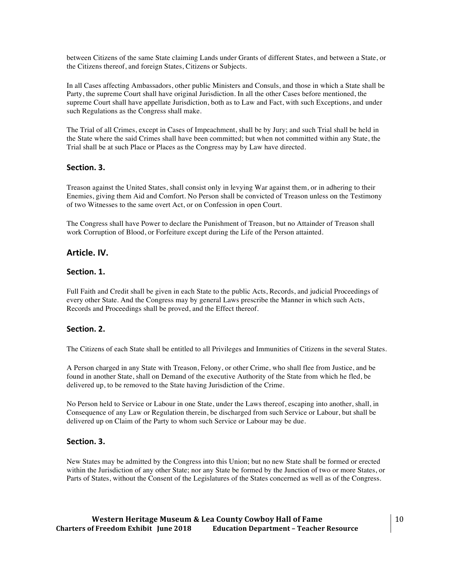between Citizens of the same State claiming Lands under Grants of different States, and between a State, or the Citizens thereof, and foreign States, Citizens or Subjects.

In all Cases affecting Ambassadors, other public Ministers and Consuls, and those in which a State shall be Party, the supreme Court shall have original Jurisdiction. In all the other Cases before mentioned, the supreme Court shall have appellate Jurisdiction, both as to Law and Fact, with such Exceptions, and under such Regulations as the Congress shall make.

The Trial of all Crimes, except in Cases of Impeachment, shall be by Jury; and such Trial shall be held in the State where the said Crimes shall have been committed; but when not committed within any State, the Trial shall be at such Place or Places as the Congress may by Law have directed.

## Section. 3.

Treason against the United States, shall consist only in levying War against them, or in adhering to their Enemies, giving them Aid and Comfort. No Person shall be convicted of Treason unless on the Testimony of two Witnesses to the same overt Act, or on Confession in open Court.

The Congress shall have Power to declare the Punishment of Treason, but no Attainder of Treason shall work Corruption of Blood, or Forfeiture except during the Life of the Person attainted.

#### **Article.)IV.**

#### Section. 1.

Full Faith and Credit shall be given in each State to the public Acts, Records, and judicial Proceedings of every other State. And the Congress may by general Laws prescribe the Manner in which such Acts, Records and Proceedings shall be proved, and the Effect thereof.

#### Section. 2.

The Citizens of each State shall be entitled to all Privileges and Immunities of Citizens in the several States.

A Person charged in any State with Treason, Felony, or other Crime, who shall flee from Justice, and be found in another State, shall on Demand of the executive Authority of the State from which he fled, be delivered up, to be removed to the State having Jurisdiction of the Crime.

No Person held to Service or Labour in one State, under the Laws thereof, escaping into another, shall, in Consequence of any Law or Regulation therein, be discharged from such Service or Labour, but shall be delivered up on Claim of the Party to whom such Service or Labour may be due.

## Section. 3.

New States may be admitted by the Congress into this Union; but no new State shall be formed or erected within the Jurisdiction of any other State; nor any State be formed by the Junction of two or more States, or Parts of States, without the Consent of the Legislatures of the States concerned as well as of the Congress.